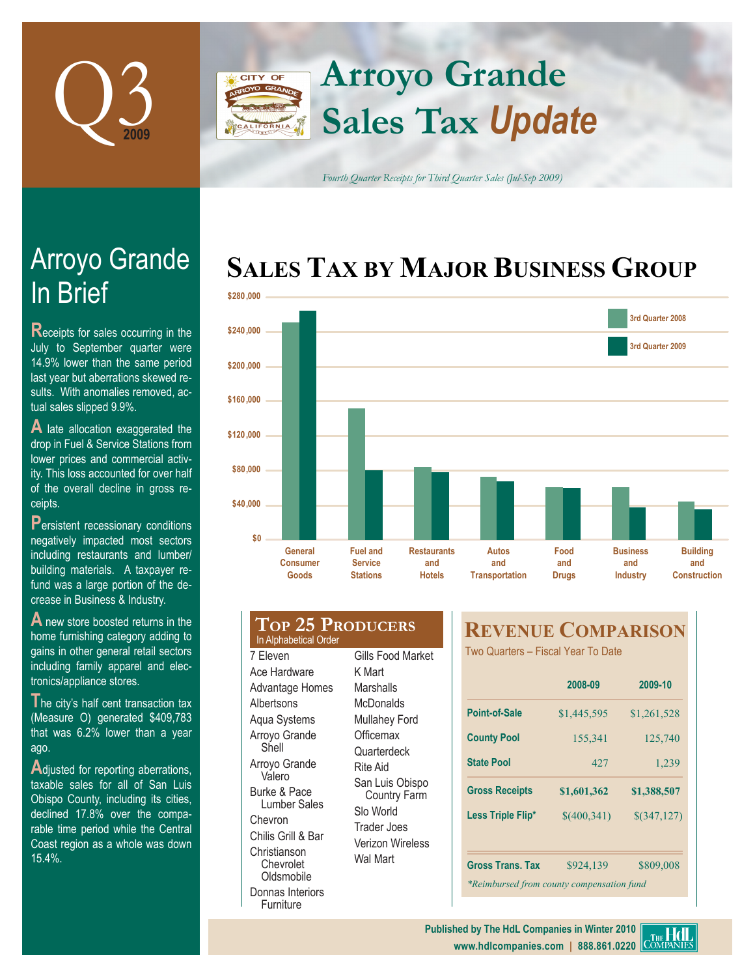

### **Arroyo Grande CITY OF Sales Tax** *Update* FORNIA

*Fourth Quarter Receipts for Third Quarter Sales (Jul-Sep 2009)*

### **SALES TAX BY MAJOR BUSINESS GROUP**



# In Brief Arroyo Grande

**Receipts for sales occurring in the** July to September quarter were 14.9% lower than the same period last year but aberrations skewed results. With anomalies removed, actual sales slipped 9.9%.

**A** late allocation exaggerated the drop in Fuel & Service Stations from lower prices and commercial activity. This loss accounted for over half of the overall decline in gross receipts.

**P**ersistent recessionary conditions negatively impacted most sectors including restaurants and lumber/ building materials. A taxpayer refund was a large portion of the decrease in Business & Industry.

**A** new store boosted returns in the home furnishing category adding to gains in other general retail sectors including family apparel and electronics/appliance stores.

**The city's half cent transaction tax** (Measure O) generated \$409,783 that was 6.2% lower than a year ago.

Adjusted for reporting aberrations, taxable sales for all of San Luis Obispo County, including its cities, declined 17.8% over the comparable time period while the Central Coast region as a whole was down 15.4%.

#### **Top 25 Producers** 7 Eleven Ace Hardware Advantage Homes **Albertsons** Aqua Systems Arroyo Grande Shell Arroyo Grande Valero Burke & Pace Lumber Sales Chevron Chilis Grill & Bar K Mart **Marshalls McDonalds Officemax** Rite Aid Slo World Trader Joes In Alphabetical Order

Christianson Chevrolet **Oldsmobile** Donnas Interiors Furniture

## Gills Food Market Mullahey Ford **Quarterdeck** San Luis Obispo Country Farm Verizon Wireless Wal Mart

### **REVENUE COMPARISON**

Two Quarters – Fiscal Year To Date

|                                           | 2008-09     | 2009-10       |  |  |  |  |
|-------------------------------------------|-------------|---------------|--|--|--|--|
| <b>Point-of-Sale</b>                      | \$1,445,595 | \$1,261,528   |  |  |  |  |
| <b>County Pool</b>                        | 155,341     | 125,740       |  |  |  |  |
| <b>State Pool</b>                         | 42.7        | 1,239         |  |  |  |  |
| <b>Gross Receipts</b>                     | \$1,601,362 | \$1,388,507   |  |  |  |  |
| Less Triple Flip*                         | \$(400,341) | $$$ (347,127) |  |  |  |  |
|                                           |             |               |  |  |  |  |
| <b>Gross Trans, Tax</b>                   | \$924,139   | \$809,008     |  |  |  |  |
| *Reimbursed from county compensation fund |             |               |  |  |  |  |